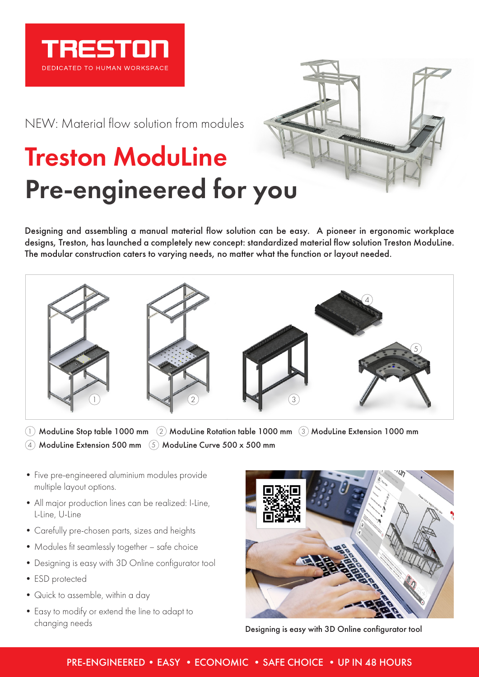

NEW: Material flow solution from modules

## Treston ModuLine Pre-engineered for you



Designing and assembling a manual material flow solution can be easy. A pioneer in ergonomic workplace designs, Treston, has launched a completely new concept: standardized material flow solution Treston ModuLine. The modular construction caters to varying needs, no matter what the function or layout needed.



 $\cup$  ModuLine Stop table 1000 mm  $\,$  (2) ModuLine Rotation table 1000 mm  $\,$  (3) ModuLine Extension 1000 mm  $\rm 4)$  ModuLine Extension 500 mm  $\,$  (5) ModuLine Curve 500 x 500 mm

- Five pre-engineered aluminium modules provide multiple layout options.
- All major production lines can be realized: I-Line, L-Line, U-Line
- Carefully pre-chosen parts, sizes and heights
- Modules fit seamlessly together safe choice
- Designing is easy with 3D Online configurator tool
- ESD protected
- Quick to assemble, within a day
- Easy to modify or extend the line to adapt to changing needs



Designing is easy with 3D Online configurator tool

## PRE-ENGINEERED • EASY • ECONOMIC • SAFE CHOICE • UP IN 48 HOURS